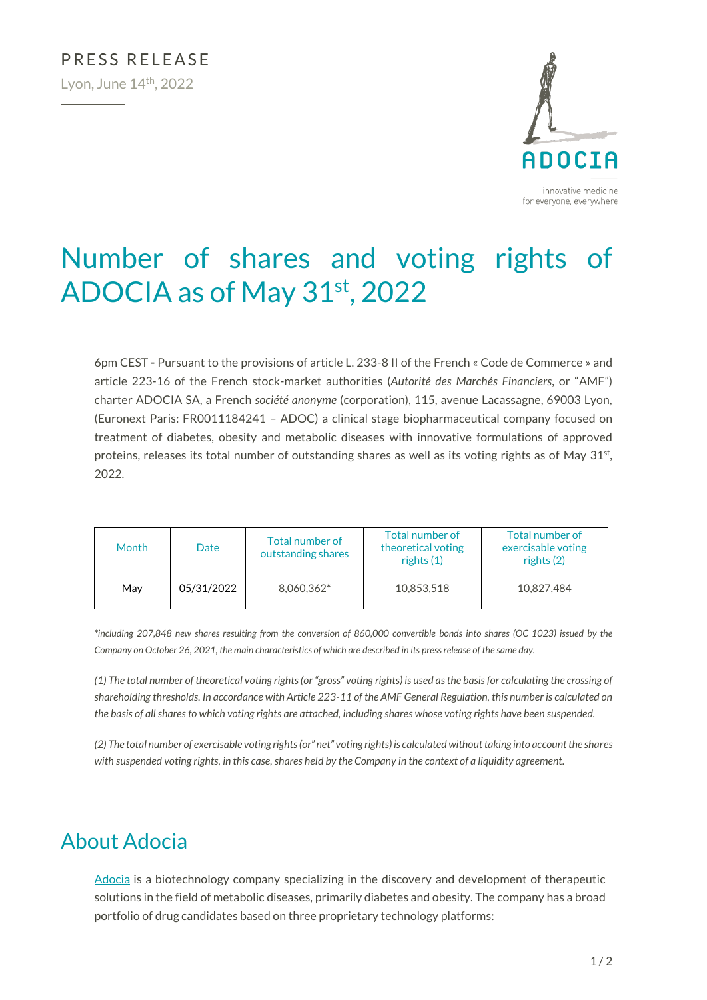

# Number of shares and voting rights of ADOCIA as of May 31<sup>st</sup>, 2022

6pm CEST **-** Pursuant to the provisions of article L. 233-8 II of the French « Code de Commerce » and article 223-16 of the French stock-market authorities (*Autorité des Marchés Financiers*, or "AMF") charter ADOCIA SA, a French *société anonyme* (corporation), 115, avenue Lacassagne, 69003 Lyon, (Euronext Paris: FR0011184241 – ADOC) a clinical stage biopharmaceutical company focused on treatment of diabetes, obesity and metabolic diseases with innovative formulations of approved proteins, releases its total number of outstanding shares as well as its voting rights as of May  $31<sup>st</sup>$ , 2022.

| Month | Date       | Total number of<br>outstanding shares | Total number of<br>theoretical voting<br>rights (1) | Total number of<br>exercisable voting<br>rights $(2)$ |
|-------|------------|---------------------------------------|-----------------------------------------------------|-------------------------------------------------------|
| May   | 05/31/2022 | 8,060,362*                            | 10.853.518                                          | 10.827.484                                            |

*\*including 207,848 new shares resulting from the conversion of 860,000 convertible bonds into shares (OC 1023) issued by the Company on October 26, 2021, the main characteristics of which are described in its press release of the same day.*

*(1) The total number of theoretical voting rights (or "gross" voting rights) is used as the basis for calculating the crossing of shareholding thresholds. In accordance with Article 223-11 of the AMF General Regulation, this number is calculated on the basis of all shares to which voting rights are attached, including shares whose voting rights have been suspended.*

*(2) The total number of exercisable voting rights (or" net" voting rights) is calculated without taking into account the shares with suspended voting rights, in this case, shares held by the Company in the context of a liquidity agreement.*

## About Adocia

[Adocia](http://www.adocia.com/) is a biotechnology company specializing in the discovery and development of therapeutic solutions in the field of metabolic diseases, primarily diabetes and obesity. The company has a broad portfolio of drug candidates based on three proprietary technology platforms: